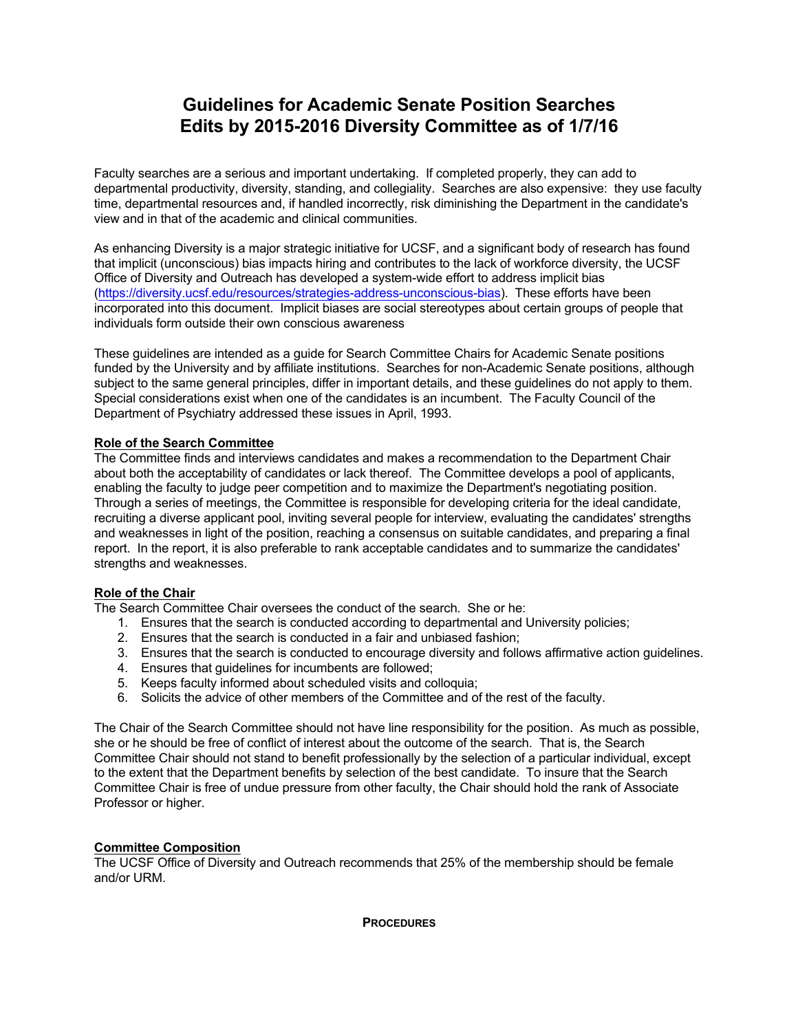# **Guidelines for Academic Senate Position Searches Edits by 2015-2016 Diversity Committee as of 1/7/16**

Faculty searches are a serious and important undertaking. If completed properly, they can add to departmental productivity, diversity, standing, and collegiality. Searches are also expensive: they use faculty time, departmental resources and, if handled incorrectly, risk diminishing the Department in the candidate's view and in that of the academic and clinical communities.

As enhancing Diversity is a major strategic initiative for UCSF, and a significant body of research has found that implicit (unconscious) bias impacts hiring and contributes to the lack of workforce diversity, the UCSF Office of Diversity and Outreach has developed a system-wide effort to address implicit bias (https://diversity.ucsf.edu/resources/strategies-address-unconscious-bias). These efforts have been incorporated into this document. Implicit biases are social stereotypes about certain groups of people that individuals form outside their own conscious awareness

These guidelines are intended as a guide for Search Committee Chairs for Academic Senate positions funded by the University and by affiliate institutions. Searches for non-Academic Senate positions, although subject to the same general principles, differ in important details, and these guidelines do not apply to them. Special considerations exist when one of the candidates is an incumbent. The Faculty Council of the Department of Psychiatry addressed these issues in April, 1993.

# **Role of the Search Committee**

The Committee finds and interviews candidates and makes a recommendation to the Department Chair about both the acceptability of candidates or lack thereof. The Committee develops a pool of applicants, enabling the faculty to judge peer competition and to maximize the Department's negotiating position. Through a series of meetings, the Committee is responsible for developing criteria for the ideal candidate, recruiting a diverse applicant pool, inviting several people for interview, evaluating the candidates' strengths and weaknesses in light of the position, reaching a consensus on suitable candidates, and preparing a final report. In the report, it is also preferable to rank acceptable candidates and to summarize the candidates' strengths and weaknesses.

### **Role of the Chair**

The Search Committee Chair oversees the conduct of the search. She or he:

- 1. Ensures that the search is conducted according to departmental and University policies;
- 2. Ensures that the search is conducted in a fair and unbiased fashion;
- 3. Ensures that the search is conducted to encourage diversity and follows affirmative action guidelines.
- 4. Ensures that guidelines for incumbents are followed;
- 5. Keeps faculty informed about scheduled visits and colloquia;
- 6. Solicits the advice of other members of the Committee and of the rest of the faculty.

The Chair of the Search Committee should not have line responsibility for the position. As much as possible, she or he should be free of conflict of interest about the outcome of the search. That is, the Search Committee Chair should not stand to benefit professionally by the selection of a particular individual, except to the extent that the Department benefits by selection of the best candidate. To insure that the Search Committee Chair is free of undue pressure from other faculty, the Chair should hold the rank of Associate Professor or higher.

# **Committee Composition**

The UCSF Office of Diversity and Outreach recommends that 25% of the membership should be female and/or URM.

**PROCEDURES**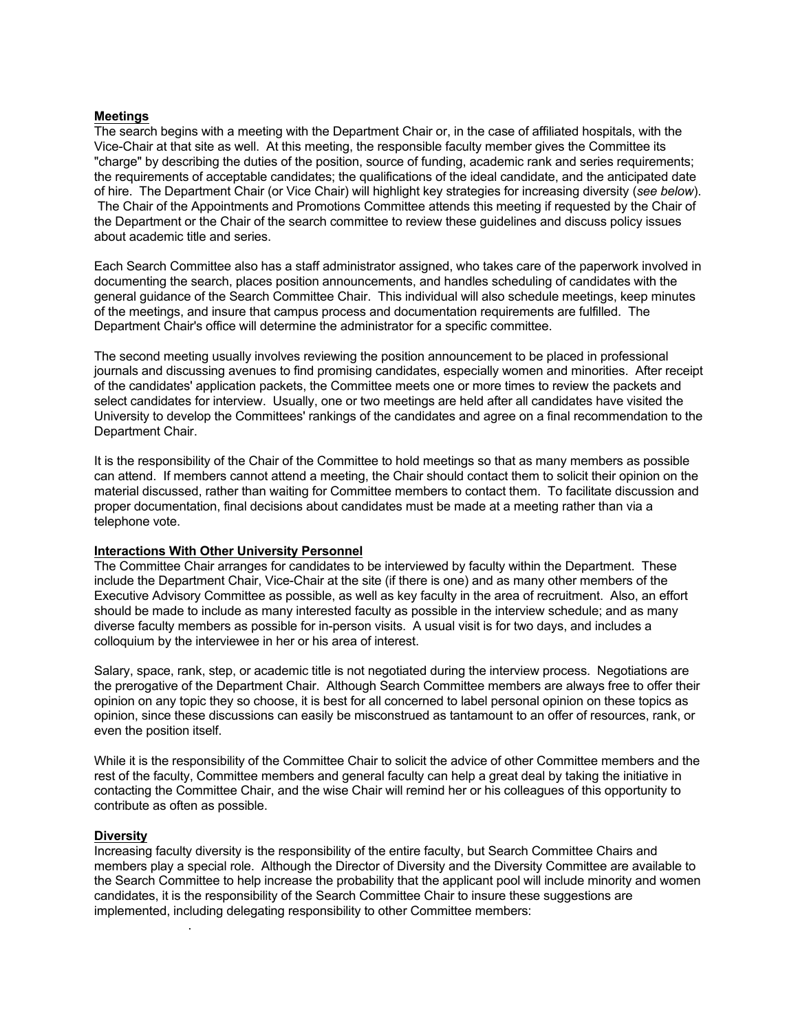#### **Meetings**

The search begins with a meeting with the Department Chair or, in the case of affiliated hospitals, with the Vice-Chair at that site as well. At this meeting, the responsible faculty member gives the Committee its "charge" by describing the duties of the position, source of funding, academic rank and series requirements; the requirements of acceptable candidates; the qualifications of the ideal candidate, and the anticipated date of hire. The Department Chair (or Vice Chair) will highlight key strategies for increasing diversity (*see below*). The Chair of the Appointments and Promotions Committee attends this meeting if requested by the Chair of the Department or the Chair of the search committee to review these guidelines and discuss policy issues about academic title and series.

Each Search Committee also has a staff administrator assigned, who takes care of the paperwork involved in documenting the search, places position announcements, and handles scheduling of candidates with the general guidance of the Search Committee Chair. This individual will also schedule meetings, keep minutes of the meetings, and insure that campus process and documentation requirements are fulfilled. The Department Chair's office will determine the administrator for a specific committee.

The second meeting usually involves reviewing the position announcement to be placed in professional journals and discussing avenues to find promising candidates, especially women and minorities. After receipt of the candidates' application packets, the Committee meets one or more times to review the packets and select candidates for interview. Usually, one or two meetings are held after all candidates have visited the University to develop the Committees' rankings of the candidates and agree on a final recommendation to the Department Chair.

It is the responsibility of the Chair of the Committee to hold meetings so that as many members as possible can attend. If members cannot attend a meeting, the Chair should contact them to solicit their opinion on the material discussed, rather than waiting for Committee members to contact them. To facilitate discussion and proper documentation, final decisions about candidates must be made at a meeting rather than via a telephone vote.

#### **Interactions With Other University Personnel**

The Committee Chair arranges for candidates to be interviewed by faculty within the Department. These include the Department Chair, Vice-Chair at the site (if there is one) and as many other members of the Executive Advisory Committee as possible, as well as key faculty in the area of recruitment. Also, an effort should be made to include as many interested faculty as possible in the interview schedule; and as many diverse faculty members as possible for in-person visits. A usual visit is for two days, and includes a colloquium by the interviewee in her or his area of interest.

Salary, space, rank, step, or academic title is not negotiated during the interview process. Negotiations are the prerogative of the Department Chair. Although Search Committee members are always free to offer their opinion on any topic they so choose, it is best for all concerned to label personal opinion on these topics as opinion, since these discussions can easily be misconstrued as tantamount to an offer of resources, rank, or even the position itself.

While it is the responsibility of the Committee Chair to solicit the advice of other Committee members and the rest of the faculty, Committee members and general faculty can help a great deal by taking the initiative in contacting the Committee Chair, and the wise Chair will remind her or his colleagues of this opportunity to contribute as often as possible.

#### **Diversity**

.

Increasing faculty diversity is the responsibility of the entire faculty, but Search Committee Chairs and members play a special role. Although the Director of Diversity and the Diversity Committee are available to the Search Committee to help increase the probability that the applicant pool will include minority and women candidates, it is the responsibility of the Search Committee Chair to insure these suggestions are implemented, including delegating responsibility to other Committee members: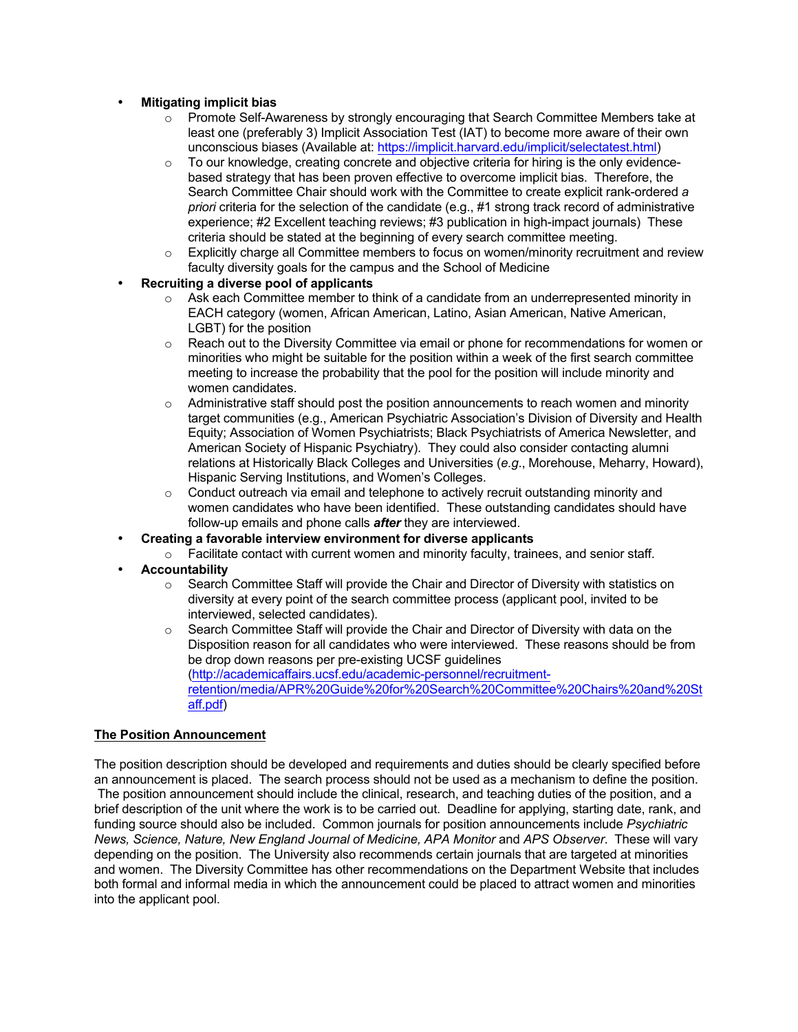# • **Mitigating implicit bias**

- $\circ$  Promote Self-Awareness by strongly encouraging that Search Committee Members take at least one (preferably 3) Implicit Association Test (IAT) to become more aware of their own unconscious biases (Available at: https://implicit.harvard.edu/implicit/selectatest.html)
- $\circ$  To our knowledge, creating concrete and objective criteria for hiring is the only evidencebased strategy that has been proven effective to overcome implicit bias. Therefore, the Search Committee Chair should work with the Committee to create explicit rank-ordered *a priori* criteria for the selection of the candidate (e.g., #1 strong track record of administrative experience; #2 Excellent teaching reviews; #3 publication in high-impact journals) These criteria should be stated at the beginning of every search committee meeting.
- $\circ$  Explicitly charge all Committee members to focus on women/minority recruitment and review faculty diversity goals for the campus and the School of Medicine
- **Recruiting a diverse pool of applicants**
	- $\circ$  Ask each Committee member to think of a candidate from an underrepresented minority in EACH category (women, African American, Latino, Asian American, Native American, LGBT) for the position
	- o Reach out to the Diversity Committee via email or phone for recommendations for women or minorities who might be suitable for the position within a week of the first search committee meeting to increase the probability that the pool for the position will include minority and women candidates.
	- $\circ$  Administrative staff should post the position announcements to reach women and minority target communities (e.g., American Psychiatric Association's Division of Diversity and Health Equity; Association of Women Psychiatrists; Black Psychiatrists of America Newsletter, and American Society of Hispanic Psychiatry). They could also consider contacting alumni relations at Historically Black Colleges and Universities (*e.g*., Morehouse, Meharry, Howard), Hispanic Serving Institutions, and Women's Colleges.
	- $\circ$  Conduct outreach via email and telephone to actively recruit outstanding minority and women candidates who have been identified. These outstanding candidates should have follow-up emails and phone calls *after* they are interviewed.
- **Creating a favorable interview environment for diverse applicants**
	- $\circ$  Facilitate contact with current women and minority faculty, trainees, and senior staff.
- **Accountability**
	- $\circ$  Search Committee Staff will provide the Chair and Director of Diversity with statistics on diversity at every point of the search committee process (applicant pool, invited to be interviewed, selected candidates).
	- $\circ$  Search Committee Staff will provide the Chair and Director of Diversity with data on the Disposition reason for all candidates who were interviewed. These reasons should be from be drop down reasons per pre-existing UCSF guidelines (http://academicaffairs.ucsf.edu/academic-personnel/recruitmentretention/media/APR%20Guide%20for%20Search%20Committee%20Chairs%20and%20St aff.pdf)

### **The Position Announcement**

The position description should be developed and requirements and duties should be clearly specified before an announcement is placed. The search process should not be used as a mechanism to define the position. The position announcement should include the clinical, research, and teaching duties of the position, and a brief description of the unit where the work is to be carried out. Deadline for applying, starting date, rank, and funding source should also be included. Common journals for position announcements include *Psychiatric News, Science, Nature, New England Journal of Medicine, APA Monitor* and *APS Observer*. These will vary depending on the position. The University also recommends certain journals that are targeted at minorities and women. The Diversity Committee has other recommendations on the Department Website that includes both formal and informal media in which the announcement could be placed to attract women and minorities into the applicant pool.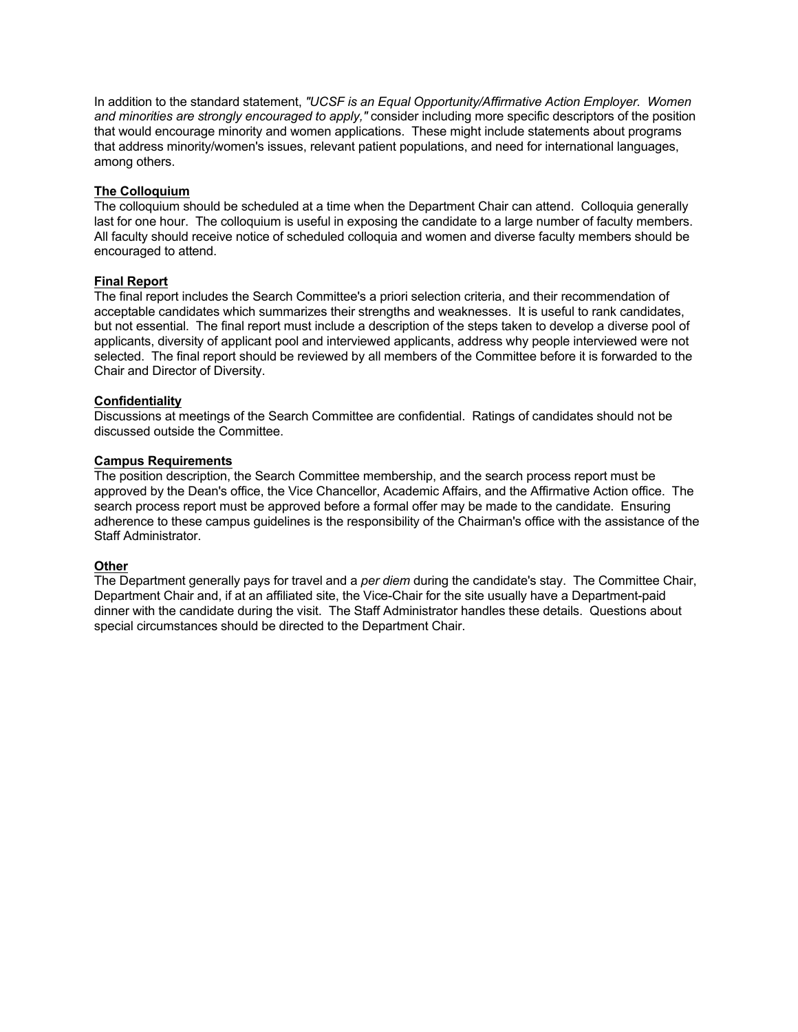In addition to the standard statement, *"UCSF is an Equal Opportunity/Affirmative Action Employer. Women and minorities are strongly encouraged to apply,"* consider including more specific descriptors of the position that would encourage minority and women applications. These might include statements about programs that address minority/women's issues, relevant patient populations, and need for international languages, among others.

## **The Colloquium**

The colloquium should be scheduled at a time when the Department Chair can attend. Colloquia generally last for one hour. The colloquium is useful in exposing the candidate to a large number of faculty members. All faculty should receive notice of scheduled colloquia and women and diverse faculty members should be encouraged to attend.

# **Final Report**

The final report includes the Search Committee's a priori selection criteria, and their recommendation of acceptable candidates which summarizes their strengths and weaknesses. It is useful to rank candidates, but not essential. The final report must include a description of the steps taken to develop a diverse pool of applicants, diversity of applicant pool and interviewed applicants, address why people interviewed were not selected. The final report should be reviewed by all members of the Committee before it is forwarded to the Chair and Director of Diversity.

# **Confidentiality**

Discussions at meetings of the Search Committee are confidential. Ratings of candidates should not be discussed outside the Committee.

# **Campus Requirements**

The position description, the Search Committee membership, and the search process report must be approved by the Dean's office, the Vice Chancellor, Academic Affairs, and the Affirmative Action office. The search process report must be approved before a formal offer may be made to the candidate. Ensuring adherence to these campus guidelines is the responsibility of the Chairman's office with the assistance of the Staff Administrator.

## **Other**

The Department generally pays for travel and a *per diem* during the candidate's stay. The Committee Chair, Department Chair and, if at an affiliated site, the Vice-Chair for the site usually have a Department-paid dinner with the candidate during the visit. The Staff Administrator handles these details. Questions about special circumstances should be directed to the Department Chair.